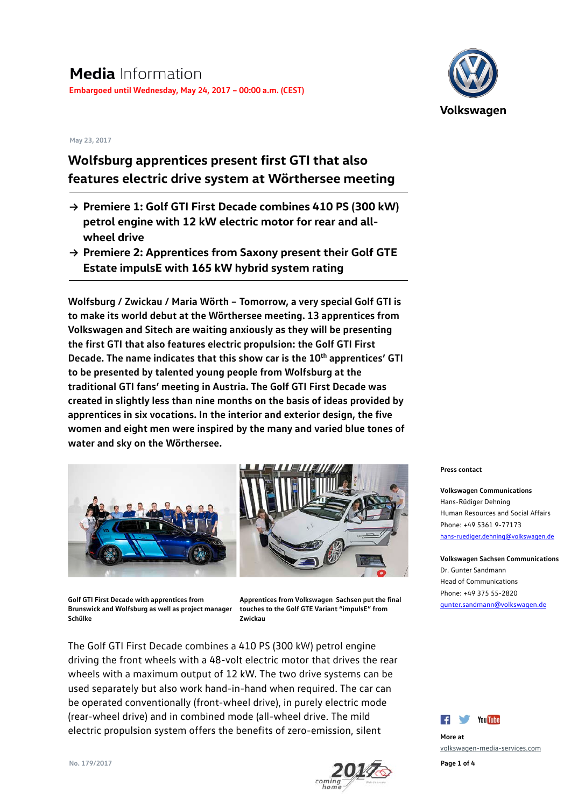#### **May 23, 2017**

# **Wolfsburg apprentices present first GTI that also features electric drive system at Wörthersee meeting**

- **→ Premiere 1: Golf GTI First Decade combines 410 PS (300 kW) petrol engine with 12 kW electric motor for rear and allwheel drive**
- **→ Premiere 2: Apprentices from Saxony present their Golf GTE Estate impulsE with 165 kW hybrid system rating**

**Wolfsburg / Zwickau / Maria Wörth – Tomorrow, a very special Golf GTI is to make its world debut at the Wörthersee meeting. 13 apprentices from Volkswagen and Sitech are waiting anxiously as they will be presenting the first GTI that also features electric propulsion: the Golf GTI First Decade. The name indicates that this show car is the 10<sup>th</sup> apprentices' GTI to be presented by talented young people from Wolfsburg at the traditional GTI fans' meeting in Austria. The Golf GTI First Decade was created in slightly less than nine months on the basis of ideas provided by apprentices in six vocations. In the interior and exterior design, the five women and eight men were inspired by the many and varied blue tones of water and sky on the Wörthersee.** 





**Golf GTI First Decade with apprentices from Brunswick and Wolfsburg as well as project manager Schülke** 

**Apprentices from Volkswagen Sachsen put the final touches to the Golf GTE Variant "impulsE" from Zwickau** 

The Golf GTI First Decade combines a 410 PS (300 kW) petrol engine driving the front wheels with a 48-volt electric motor that drives the rear wheels with a maximum output of 12 kW. The two drive systems can be used separately but also work hand-in-hand when required. The car can be operated conventionally (front-wheel drive), in purely electric mode (rear-wheel drive) and in combined mode (all-wheel drive. The mild electric propulsion system offers the benefits of zero-emission, silent



**Press contact**

**Volkswagen Communications** Hans-Rüdiger Dehning Human Resources and Social Affairs Phone: +49 5361 9-77173 [hans-ruediger.dehning@volkswagen.de](mailto:hans-ruediger.dehning@volkswagen.de)

**Volkswagen Sachsen Communications** Dr. Gunter Sandmann Head of Communications Phone: +49 375 55-2820 [gunter.sandmann@volkswagen.de](mailto:gunter.sandmann@volkswagen.de)



**More at**  [volkswagen-media-services.com](https://www.volkswagen-media-services.com/)

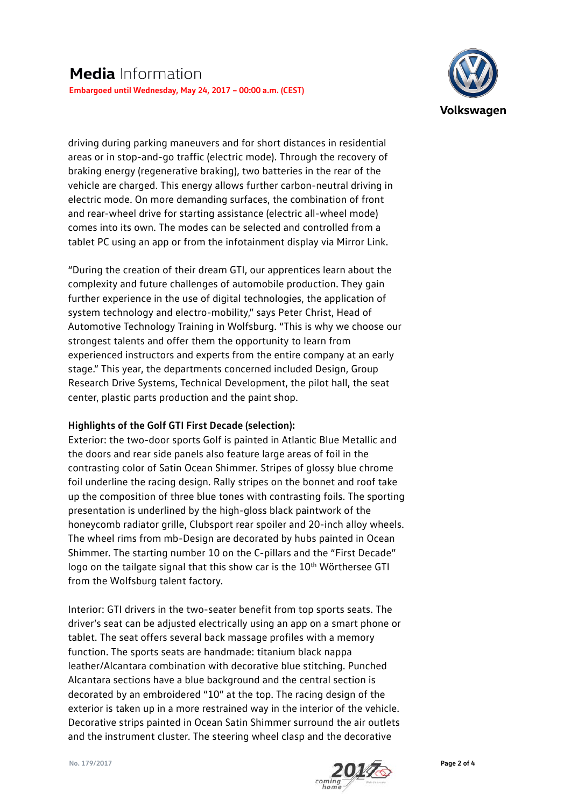

driving during parking maneuvers and for short distances in residential areas or in stop-and-go traffic (electric mode). Through the recovery of braking energy (regenerative braking), two batteries in the rear of the vehicle are charged. This energy allows further carbon-neutral driving in electric mode. On more demanding surfaces, the combination of front and rear-wheel drive for starting assistance (electric all-wheel mode) comes into its own. The modes can be selected and controlled from a tablet PC using an app or from the infotainment display via Mirror Link.

"During the creation of their dream GTI, our apprentices learn about the complexity and future challenges of automobile production. They gain further experience in the use of digital technologies, the application of system technology and electro-mobility," says Peter Christ, Head of Automotive Technology Training in Wolfsburg. "This is why we choose our strongest talents and offer them the opportunity to learn from experienced instructors and experts from the entire company at an early stage." This year, the departments concerned included Design, Group Research Drive Systems, Technical Development, the pilot hall, the seat center, plastic parts production and the paint shop.

## **Highlights of the Golf GTI First Decade (selection):**

Exterior: the two-door sports Golf is painted in Atlantic Blue Metallic and the doors and rear side panels also feature large areas of foil in the contrasting color of Satin Ocean Shimmer. Stripes of glossy blue chrome foil underline the racing design. Rally stripes on the bonnet and roof take up the composition of three blue tones with contrasting foils. The sporting presentation is underlined by the high-gloss black paintwork of the honeycomb radiator grille, Clubsport rear spoiler and 20-inch alloy wheels. The wheel rims from mb-Design are decorated by hubs painted in Ocean Shimmer. The starting number 10 on the C-pillars and the "First Decade" logo on the tailgate signal that this show car is the 10<sup>th</sup> Wörthersee GTI from the Wolfsburg talent factory.

Interior: GTI drivers in the two-seater benefit from top sports seats. The driver's seat can be adjusted electrically using an app on a smart phone or tablet. The seat offers several back massage profiles with a memory function. The sports seats are handmade: titanium black nappa leather/Alcantara combination with decorative blue stitching. Punched Alcantara sections have a blue background and the central section is decorated by an embroidered "10" at the top. The racing design of the exterior is taken up in a more restrained way in the interior of the vehicle. Decorative strips painted in Ocean Satin Shimmer surround the air outlets and the instrument cluster. The steering wheel clasp and the decorative

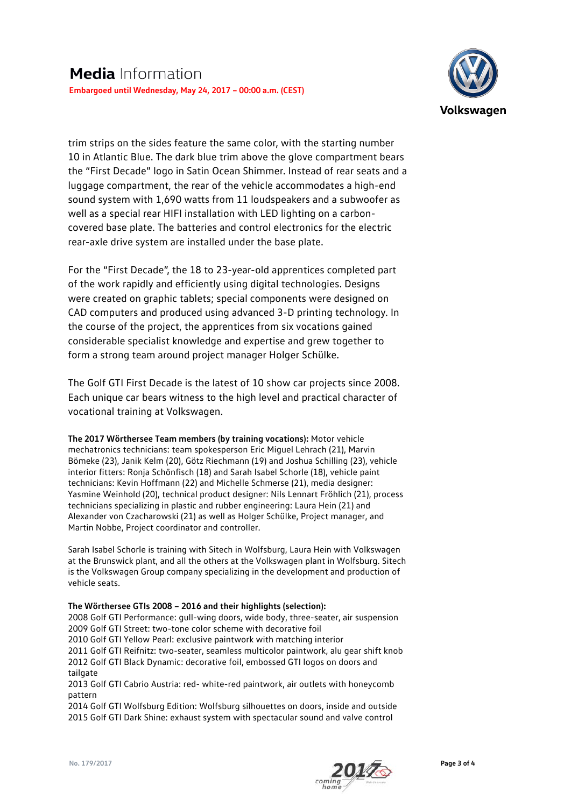

trim strips on the sides feature the same color, with the starting number 10 in Atlantic Blue. The dark blue trim above the glove compartment bears the "First Decade" logo in Satin Ocean Shimmer. Instead of rear seats and a luggage compartment, the rear of the vehicle accommodates a high-end sound system with 1,690 watts from 11 loudspeakers and a subwoofer as well as a special rear HIFI installation with LED lighting on a carboncovered base plate. The batteries and control electronics for the electric rear-axle drive system are installed under the base plate.

For the "First Decade", the 18 to 23-year-old apprentices completed part of the work rapidly and efficiently using digital technologies. Designs were created on graphic tablets; special components were designed on CAD computers and produced using advanced 3-D printing technology. In the course of the project, the apprentices from six vocations gained considerable specialist knowledge and expertise and grew together to form a strong team around project manager Holger Schülke.

The Golf GTI First Decade is the latest of 10 show car projects since 2008. Each unique car bears witness to the high level and practical character of vocational training at Volkswagen.

**The 2017 Wörthersee Team members (by training vocations):** Motor vehicle mechatronics technicians: team spokesperson Eric Miguel Lehrach (21), Marvin Bömeke (23), Janik Kelm (20), Götz Riechmann (19) and Joshua Schilling (23), vehicle interior fitters: Ronja Schönfisch (18) and Sarah Isabel Schorle (18), vehicle paint technicians: Kevin Hoffmann (22) and Michelle Schmerse (21), media designer: Yasmine Weinhold (20), technical product designer: Nils Lennart Fröhlich (21), process technicians specializing in plastic and rubber engineering: Laura Hein (21) and Alexander von Czacharowski (21) as well as Holger Schülke, Project manager, and Martin Nobbe, Project coordinator and controller.

Sarah Isabel Schorle is training with Sitech in Wolfsburg, Laura Hein with Volkswagen at the Brunswick plant, and all the others at the Volkswagen plant in Wolfsburg. Sitech is the Volkswagen Group company specializing in the development and production of vehicle seats.

### **The Wörthersee GTIs 2008 – 2016 and their highlights (selection):**

2008 Golf GTI Performance: gull-wing doors, wide body, three-seater, air suspension 2009 Golf GTI Street: two-tone color scheme with decorative foil 2010 Golf GTI Yellow Pearl: exclusive paintwork with matching interior 2011 Golf GTI Reifnitz: two-seater, seamless multicolor paintwork, alu gear shift knob 2012 Golf GTI Black Dynamic: decorative foil, embossed GTI logos on doors and tailgate

2013 Golf GTI Cabrio Austria: red- white-red paintwork, air outlets with honeycomb pattern

2014 Golf GTI Wolfsburg Edition: Wolfsburg silhouettes on doors, inside and outside 2015 Golf GTI Dark Shine: exhaust system with spectacular sound and valve control